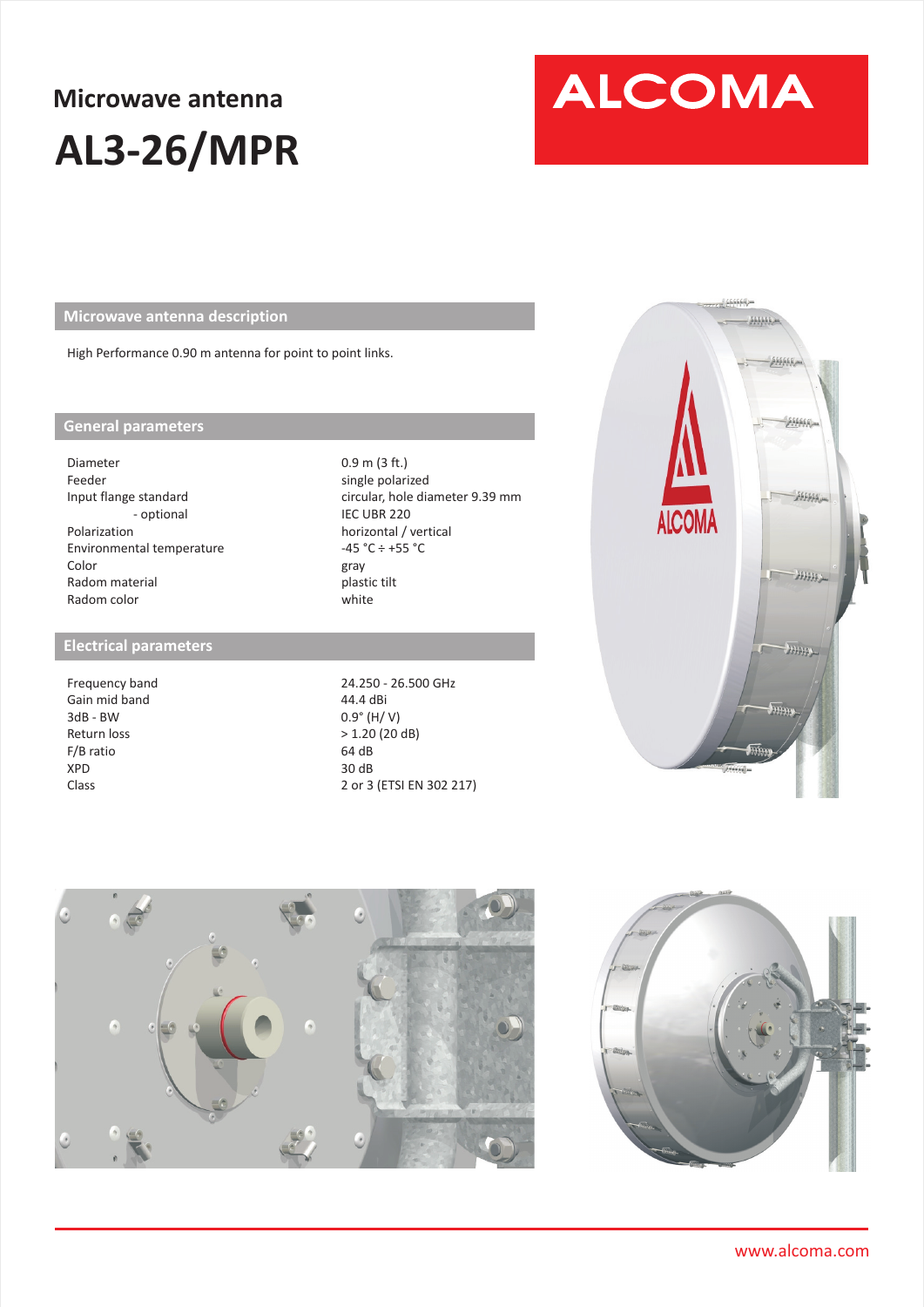## **Microwave antenna AL3-26/MPR**

# **ALCOMA**

**Microwave antenna description** 

High Performance 0.90 m antenna for point to point links.

#### **General parameters**

Diameter Feeder Input flange standard - optional Polarization Environmental temperature Color Radom material Radom color

#### **Electrical parameters**

Frequency band Gain mid band 3dB - BW Return loss F/B ratio XPD Class

0.9 m (3 ft.) single polarized circular, hole diameter 9.39 mm IEC UBR 220 horizontal / vertical  $-45 °C \div +55 °C$ gray white plastic tilt

24.250 - 26.500 GHz 44.4 dBi 0.9° (H/ V) > 1.20 (20 dB) 64 dB 30 dB 2 or 3 (ETSI EN 302 217)